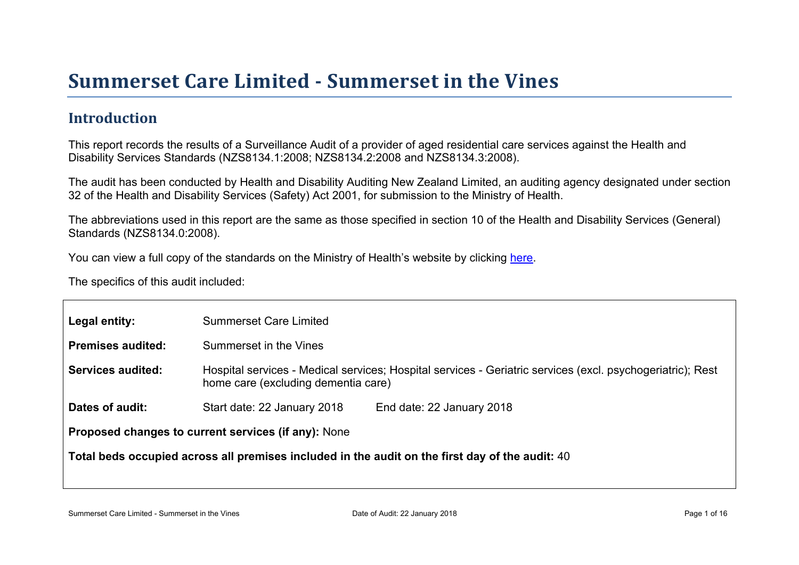# Summer set Car e Limited - Summer set in the Vines

#### Introduction

This report records the results of a Surveillance Audit of a provider of aged residential care services against the Health and Disability Services Standards (NZS8134.1:2008; NZS8134.2:2008 and NZS8134.3:2008).

The audit has been conducted by Health and Disability Auditing New Zealand Limited, an auditing agency designated under section 32 of the Health and Disability Services (Safety) Act 2001, for submission to the Ministry of Health.

The abbreviations used in this report are the same as those specified in section 10 of the Health and Disability Services (General) Standards (NZS8134.0:2008).

You can view a full copy of the standards on the Ministry of Health's website by clicking [here.](http://www.health.govt.nz/our-work/regulation-health-and-disability-system/certification-health-care-services/health-and-disability-services-standards)

The specifics of this audit included:

| Legal entity:                                       | <b>Summerset Care Limited</b>                                                                                                                     |  |  |  |
|-----------------------------------------------------|---------------------------------------------------------------------------------------------------------------------------------------------------|--|--|--|
| Premises audited:                                   | Summerset in the Vines                                                                                                                            |  |  |  |
| Services audited:                                   | Hospital services - Medical services; Hospital services - Geriatric services (excl. psychogeriatric); Rest<br>home care (excluding dementia care) |  |  |  |
| Dates of audit:                                     | Start date: 22 January 2018<br>End date: 22 January 2018                                                                                          |  |  |  |
| Proposed changes to current services (if any): None |                                                                                                                                                   |  |  |  |
|                                                     | Total beds occupied across all premises included<br>in the audit on the first day of the audit: 40                                                |  |  |  |
|                                                     |                                                                                                                                                   |  |  |  |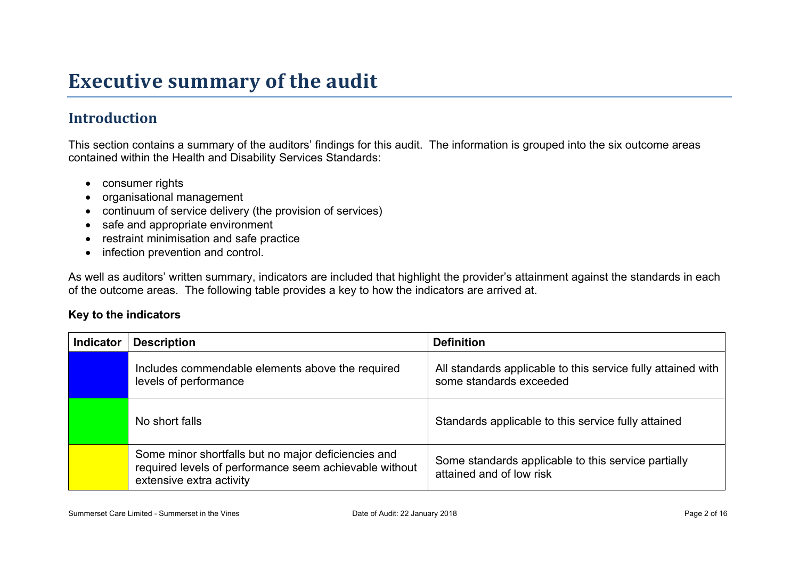# **Executive summary of the audit**

### **Introduction**

This section contains a summary of the auditors' findings for this audit. The information is grouped into the six outcome areas contained within the Health and Disability Services Standards:

- consumer rights
- organisational management
- continuum of service delivery (the provision of services)
- safe and appropriate environment
- restraint minimisation and safe practice
- infection prevention and control.

As well as auditors' written summary, indicators are included that highlight the provider's attainment against the standards in each of the outcome areas. The following table provides a key to how the indicators are arrived at.

#### **Key to the indicators**

| <b>Indicator</b> | <b>Description</b>                                                                                                                        | <b>Definition</b>                                                                       |
|------------------|-------------------------------------------------------------------------------------------------------------------------------------------|-----------------------------------------------------------------------------------------|
|                  | Includes commendable elements above the required<br>levels of performance                                                                 | All standards applicable to this service fully attained with<br>some standards exceeded |
|                  | No short falls                                                                                                                            | Standards applicable to this service fully attained                                     |
|                  | Some minor shortfalls but no major deficiencies and<br>required levels of performance seem achievable without<br>extensive extra activity | Some standards applicable to this service partially<br>attained and of low risk         |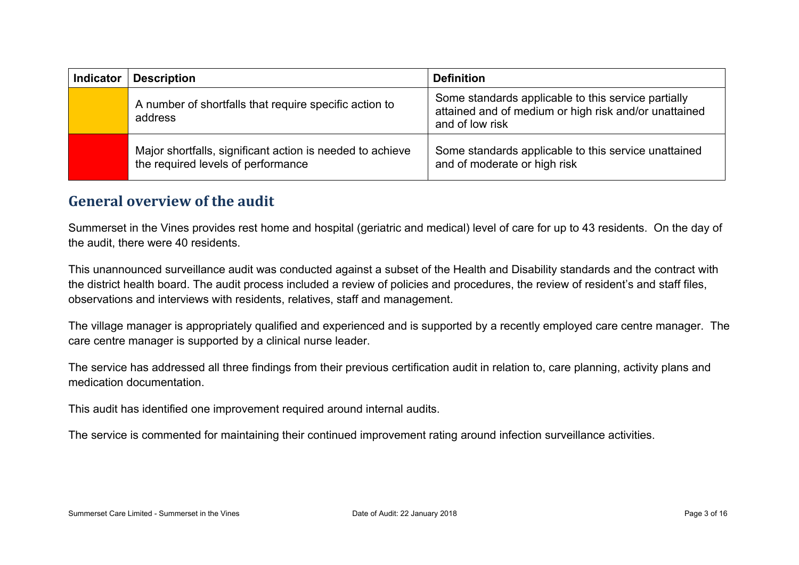| <b>Indicator</b> | <b>Description</b>                                                                              | <b>Definition</b>                                                                                                               |
|------------------|-------------------------------------------------------------------------------------------------|---------------------------------------------------------------------------------------------------------------------------------|
|                  | A number of shortfalls that require specific action to<br>address                               | Some standards applicable to this service partially<br>attained and of medium or high risk and/or unattained<br>and of low risk |
|                  | Major shortfalls, significant action is needed to achieve<br>the required levels of performance | Some standards applicable to this service unattained<br>and of moderate or high risk                                            |

#### **General overview of the audit**

Summerset in the Vines provides rest home and hospital (geriatric and medical) level of care for up to 43 residents. On the day of the audit, there were 40 residents.

This unannounced surveillance audit was conducted against a subset of the Health and Disability standards and the contract with the district health board. The audit process included a review of policies and procedures, the review of resident's and staff files, observations and interviews with residents, relatives, staff and management.

The village manager is appropriately qualified and experienced and is supported by a recently employed care centre manager. The care centre manager is supported by a clinical nurse leader.

The service has addressed all three findings from their previous certification audit in relation to, care planning, activity plans and medication documentation.

This audit has identified one improvement required around internal audits.

The service is commented for maintaining their continued improvement rating around infection surveillance activities.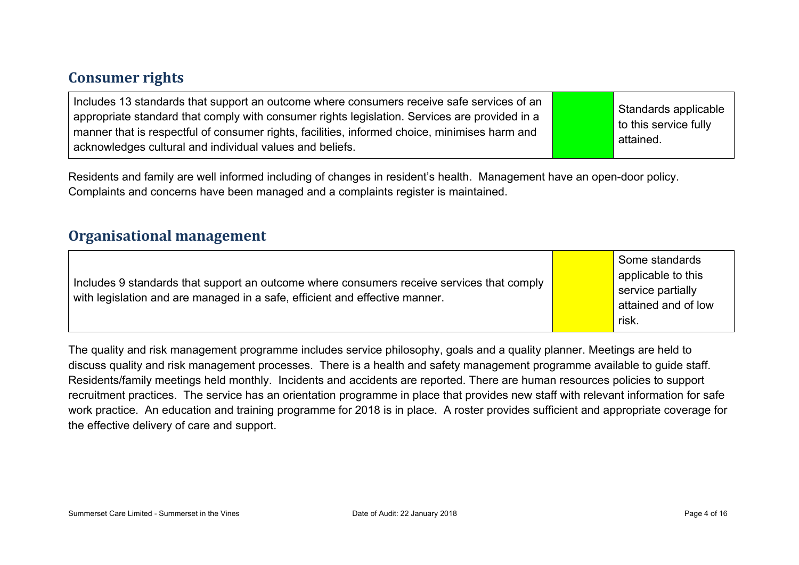#### **Consumer rights**

| Includes 13 standards that support an outcome where consumers receive safe services of an<br>appropriate standard that comply with consumer rights legislation. Services are provided in a<br>manner that is respectful of consumer rights, facilities, informed choice, minimises harm and<br>acknowledges cultural and individual values and beliefs. |  | Standards applicable<br>to this service fully<br>attained. |
|---------------------------------------------------------------------------------------------------------------------------------------------------------------------------------------------------------------------------------------------------------------------------------------------------------------------------------------------------------|--|------------------------------------------------------------|
|---------------------------------------------------------------------------------------------------------------------------------------------------------------------------------------------------------------------------------------------------------------------------------------------------------------------------------------------------------|--|------------------------------------------------------------|

Residents and family are well informed including of changes in resident's health. Management have an open-door policy. Complaints and concerns have been managed and a complaints register is maintained.

#### **Organisational management**

| Includes 9 standards that support an outcome where consumers receive services that comply<br>with legislation and are managed in a safe, efficient and effective manner. |  | Some standards<br>applicable to this<br>service partially<br>attained and of low<br>risk. |
|--------------------------------------------------------------------------------------------------------------------------------------------------------------------------|--|-------------------------------------------------------------------------------------------|
|--------------------------------------------------------------------------------------------------------------------------------------------------------------------------|--|-------------------------------------------------------------------------------------------|

The quality and risk management programme includes service philosophy, goals and a quality planner. Meetings are held to discuss quality and risk management processes. There is a health and safety management programme available to guide staff. Residents/family meetings held monthly. Incidents and accidents are reported. There are human resources policies to support recruitment practices. The service has an orientation programme in place that provides new staff with relevant information for safe work practice. An education and training programme for 2018 is in place. A roster provides sufficient and appropriate coverage for the effective delivery of care and support.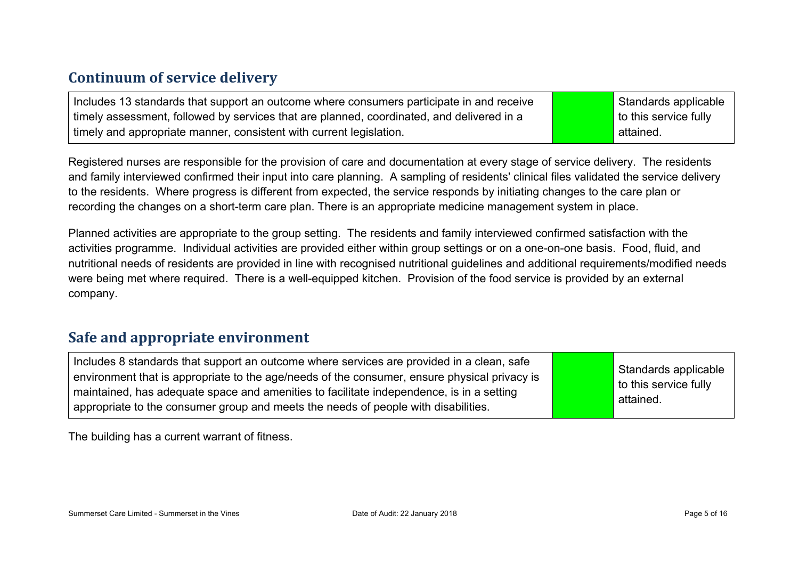#### **Continuum of service delivery**

Includes 13 standards that support an outcome where consumers participate in and receive timely assessment, followed by services that are planned, coordinated, and delivered in a timely and appropriate manner, consistent with current legislation.

Standards applicable to this service fully attained.

Registered nurses are responsible for the provision of care and documentation at every stage of service delivery. The residents and family interviewed confirmed their input into care planning. A sampling of residents' clinical files validated the service delivery to the residents. Where progress is different from expected, the service responds by initiating changes to the care plan or recording the changes on a short-term care plan. There is an appropriate medicine management system in place.

Planned activities are appropriate to the group setting. The residents and family interviewed confirmed satisfaction with the activities programme. Individual activities are provided either within group settings or on a one-on-one basis. Food, fluid, and nutritional needs of residents are provided in line with recognised nutritional guidelines and additional requirements/modified needs were being met where required. There is a well-equipped kitchen. Provision of the food service is provided by an external company.

#### **Safe and appropriate environment**

Includes 8 standards that support an outcome where services are provided in a clean, safe environment that is appropriate to the age/needs of the consumer, ensure physical privacy is maintained, has adequate space and amenities to facilitate independence, is in a setting appropriate to the consumer group and meets the needs of people with disabilities.

Standards applicable to this service fully attained.

The building has a current warrant of fitness.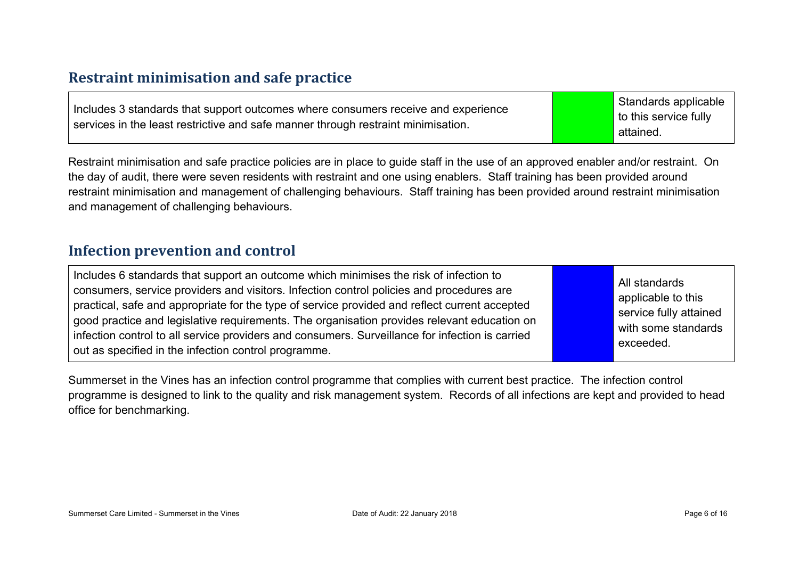#### **Restraint minimisation and safe practice**

| Includes 3 standards that support outcomes where consumers receive and experience | Standards applicable  |
|-----------------------------------------------------------------------------------|-----------------------|
|                                                                                   | to this service fully |
| services in the least restrictive and safe manner through restraint minimisation. | attained.             |

Restraint minimisation and safe practice policies are in place to guide staff in the use of an approved enabler and/or restraint. On the day of audit, there were seven residents with restraint and one using enablers. Staff training has been provided around restraint minimisation and management of challenging behaviours. Staff training has been provided around restraint minimisation and management of challenging behaviours.

#### **Infection prevention and control**

| Includes 6 standards that support an outcome which minimises the risk of infection to<br>consumers, service providers and visitors. Infection control policies and procedures are<br>practical, safe and appropriate for the type of service provided and reflect current accepted<br>good practice and legislative requirements. The organisation provides relevant education on<br>infection control to all service providers and consumers. Surveillance for infection is carried<br>out as specified in the infection control programme. |  | All standards<br>applicable to this<br>service fully attained<br>with some standards<br>exceeded. |
|----------------------------------------------------------------------------------------------------------------------------------------------------------------------------------------------------------------------------------------------------------------------------------------------------------------------------------------------------------------------------------------------------------------------------------------------------------------------------------------------------------------------------------------------|--|---------------------------------------------------------------------------------------------------|
|----------------------------------------------------------------------------------------------------------------------------------------------------------------------------------------------------------------------------------------------------------------------------------------------------------------------------------------------------------------------------------------------------------------------------------------------------------------------------------------------------------------------------------------------|--|---------------------------------------------------------------------------------------------------|

Summerset in the Vines has an infection control programme that complies with current best practice. The infection control programme is designed to link to the quality and risk management system. Records of all infections are kept and provided to head office for benchmarking.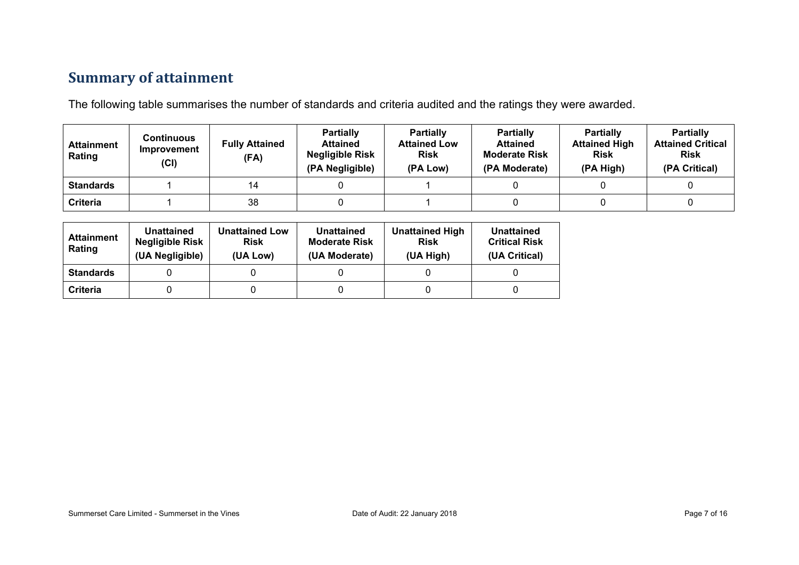### **Summary of attainment**

The following table summarises the number of standards and criteria audited and the ratings they were awarded.

| <b>Attainment</b><br>Rating | Continuous<br>Improvement<br>(Cl) | <b>Fully Attained</b><br>(FA) | <b>Partially</b><br><b>Attained</b><br><b>Negligible Risk</b><br>(PA Negligible) | <b>Partially</b><br><b>Attained Low</b><br><b>Risk</b><br>(PA Low) | <b>Partially</b><br><b>Attained</b><br><b>Moderate Risk</b><br>(PA Moderate) | <b>Partially</b><br><b>Attained High</b><br><b>Risk</b><br>(PA High) | <b>Partially</b><br><b>Attained Critical</b><br><b>Risk</b><br>(PA Critical) |
|-----------------------------|-----------------------------------|-------------------------------|----------------------------------------------------------------------------------|--------------------------------------------------------------------|------------------------------------------------------------------------------|----------------------------------------------------------------------|------------------------------------------------------------------------------|
| <b>Standards</b>            |                                   | 14                            |                                                                                  |                                                                    |                                                                              |                                                                      |                                                                              |
| Criteria                    |                                   | 38                            |                                                                                  |                                                                    |                                                                              |                                                                      |                                                                              |

| <b>Attainment</b><br>Rating | Unattained<br><b>Negligible Risk</b><br>(UA Negligible) | <b>Unattained Low</b><br><b>Risk</b><br>(UA Low) | <b>Unattained</b><br><b>Moderate Risk</b><br>(UA Moderate) | <b>Unattained High</b><br><b>Risk</b><br>(UA High) | Unattained<br><b>Critical Risk</b><br>(UA Critical) |
|-----------------------------|---------------------------------------------------------|--------------------------------------------------|------------------------------------------------------------|----------------------------------------------------|-----------------------------------------------------|
| <b>Standards</b>            |                                                         |                                                  |                                                            |                                                    |                                                     |
| Criteria                    |                                                         |                                                  |                                                            |                                                    |                                                     |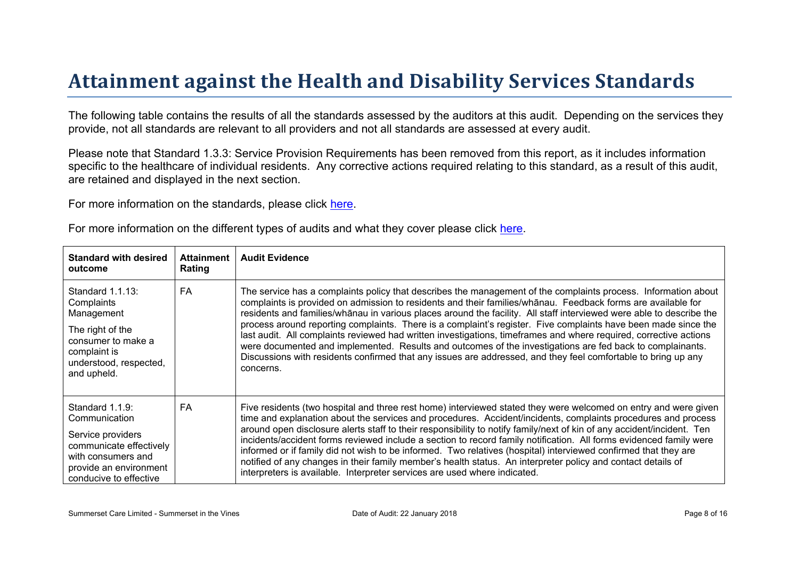# Attainment against the Health and Disability Ser vices Standar ds

The following table contains the results of all the standards assessed by the auditors at this audit. Depending on the services they provide, not all standards are relevant to all providers and not all standards are assessed at every audit.

Please note that Standard 1.3.3: Service Provision Requirements has been removed from this report, as it includes information specific to the healthcare of individual residents. Any corrective actions required relating to this standard, as a result of this audit, are retained and displayed in the next section.

For more information on the standards, please click [here](http://www.health.govt.nz/our-work/regulation-health-and-disability-system/certification-health-care-services/health-and-disability-services-standards).

|  |  |  |  | For more information on the different types of audits and what they cover please click here. |
|--|--|--|--|----------------------------------------------------------------------------------------------|
|--|--|--|--|----------------------------------------------------------------------------------------------|

| Standard with desired<br>outcome                                                                                                                           | Attainment<br>Rating | Audit Evidence                                                                                                                                                                                                                                                                                                                                                                                                                                                                                                                                                                                                                                                                                                                                                                                                         |
|------------------------------------------------------------------------------------------------------------------------------------------------------------|----------------------|------------------------------------------------------------------------------------------------------------------------------------------------------------------------------------------------------------------------------------------------------------------------------------------------------------------------------------------------------------------------------------------------------------------------------------------------------------------------------------------------------------------------------------------------------------------------------------------------------------------------------------------------------------------------------------------------------------------------------------------------------------------------------------------------------------------------|
| Standard 1.1.13:<br>Complaints<br>Management<br>The right of the<br>consumer to make a<br>complaint is<br>understood, respected,<br>and upheld.            | FA                   | The service has a complaints policy that describes the management of the complaints process. Information about<br>complaints is provided on admission to residents and their $\# \lt / D$ , Feed to and savailable for<br>D in variduates around the facility. All staff interviewed were able to describe the<br #<br>residents and<br>process around reporting complaints. There is a complaint's register. Five complaints have been made since the<br>last audit. All complaints reviewed had written investigations, timeframes and where required, corrective actions<br>were documented and implemented. Results and outcomes of the investigations are fed back to complainants.<br>Discussions with residents confirmed that any issues are addressed, and they feel comfortable to bring up any<br>concerns. |
| Standard 1.1.9:<br>Communication<br>Service providers<br>communicate effectively<br>with consumers and<br>provide an environment<br>conducive to effective | FA                   | Five residents (two hospital and three rest home) interviewed stated they were welcomed on entry and were given<br>time and explanation about the services and procedures. Accident/incidents, complaints procedures and process<br>around open disclosure alerts staff to their responsibility to notify family/next of kin of any accident/incident. Ten<br>incidents/accident forms reviewed include a section to record family notification. All forms evidenced family were<br>informed or if family did not wish to be informed. Two relatives (hospital) interviewed confirmed that they are<br>notified of any changes in their family member's health status. An interpreter policy and contact details of<br>interpreters is available. Interpreter services are used where indicated.                       |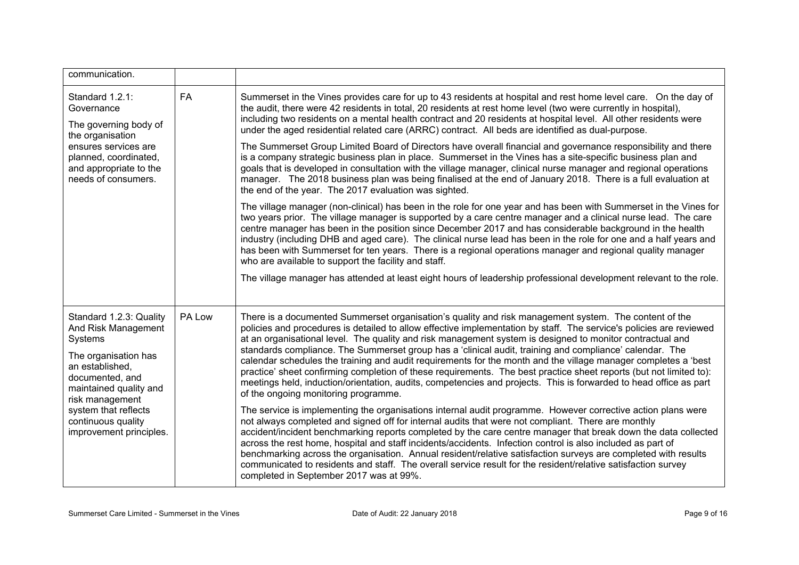| communication.                                                                                                                                                                                                                                |           |                                                                                                                                                                                                                                                                                                                                                                                                                                                                                                                                                                                                                                                                                                                                                                                                                                                           |
|-----------------------------------------------------------------------------------------------------------------------------------------------------------------------------------------------------------------------------------------------|-----------|-----------------------------------------------------------------------------------------------------------------------------------------------------------------------------------------------------------------------------------------------------------------------------------------------------------------------------------------------------------------------------------------------------------------------------------------------------------------------------------------------------------------------------------------------------------------------------------------------------------------------------------------------------------------------------------------------------------------------------------------------------------------------------------------------------------------------------------------------------------|
| Standard 1.2.1:<br>Governance<br>The governing body of<br>the organisation<br>ensures services are<br>planned, coordinated,<br>and appropriate to the<br>needs of consumers.                                                                  | <b>FA</b> | Summerset in the Vines provides care for up to 43 residents at hospital and rest home level care. On the day of<br>the audit, there were 42 residents in total, 20 residents at rest home level (two were currently in hospital),<br>including two residents on a mental health contract and 20 residents at hospital level. All other residents were<br>under the aged residential related care (ARRC) contract. All beds are identified as dual-purpose.                                                                                                                                                                                                                                                                                                                                                                                                |
|                                                                                                                                                                                                                                               |           | The Summerset Group Limited Board of Directors have overall financial and governance responsibility and there<br>is a company strategic business plan in place. Summerset in the Vines has a site-specific business plan and<br>goals that is developed in consultation with the village manager, clinical nurse manager and regional operations<br>manager. The 2018 business plan was being finalised at the end of January 2018. There is a full evaluation at<br>the end of the year. The 2017 evaluation was sighted.                                                                                                                                                                                                                                                                                                                                |
|                                                                                                                                                                                                                                               |           | The village manager (non-clinical) has been in the role for one year and has been with Summerset in the Vines for<br>two years prior. The village manager is supported by a care centre manager and a clinical nurse lead. The care<br>centre manager has been in the position since December 2017 and has considerable background in the health<br>industry (including DHB and aged care). The clinical nurse lead has been in the role for one and a half years and<br>has been with Summerset for ten years. There is a regional operations manager and regional quality manager<br>who are available to support the facility and staff.                                                                                                                                                                                                               |
|                                                                                                                                                                                                                                               |           | The village manager has attended at least eight hours of leadership professional development relevant to the role.                                                                                                                                                                                                                                                                                                                                                                                                                                                                                                                                                                                                                                                                                                                                        |
| Standard 1.2.3: Quality<br>And Risk Management<br>Systems<br>The organisation has<br>an established,<br>documented, and<br>maintained quality and<br>risk management<br>system that reflects<br>continuous quality<br>improvement principles. | PA Low    | There is a documented Summerset organisation's quality and risk management system. The content of the<br>policies and procedures is detailed to allow effective implementation by staff. The service's policies are reviewed<br>at an organisational level. The quality and risk management system is designed to monitor contractual and<br>standards compliance. The Summerset group has a 'clinical audit, training and compliance' calendar. The<br>calendar schedules the training and audit requirements for the month and the village manager completes a 'best<br>practice' sheet confirming completion of these requirements. The best practice sheet reports (but not limited to):<br>meetings held, induction/orientation, audits, competencies and projects. This is forwarded to head office as part<br>of the ongoing monitoring programme. |
|                                                                                                                                                                                                                                               |           | The service is implementing the organisations internal audit programme. However corrective action plans were<br>not always completed and signed off for internal audits that were not compliant. There are monthly<br>accident/incident benchmarking reports completed by the care centre manager that break down the data collected<br>across the rest home, hospital and staff incidents/accidents. Infection control is also included as part of<br>benchmarking across the organisation. Annual resident/relative satisfaction surveys are completed with results<br>communicated to residents and staff. The overall service result for the resident/relative satisfaction survey<br>completed in September 2017 was at 99%.                                                                                                                         |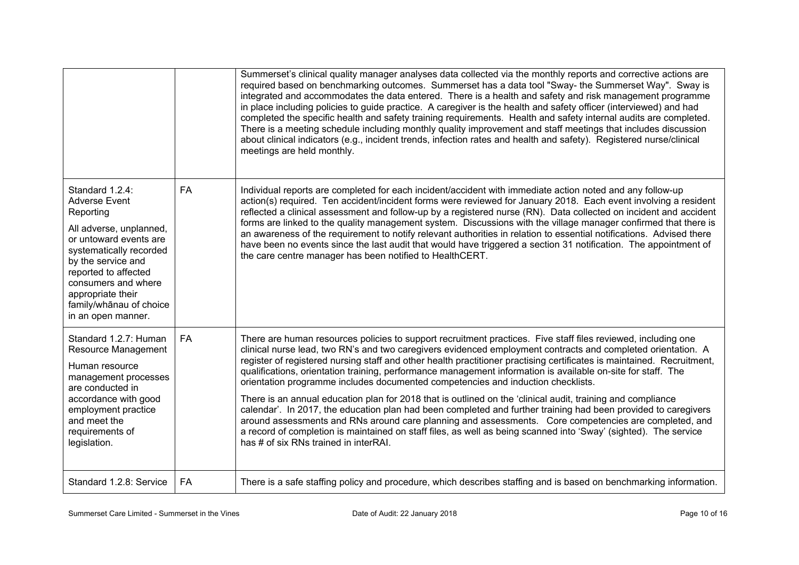|                                                                                                                                                                                                                                                                                 |           | Summerset's clinical quality manager analyses data collected via the monthly reports and corrective actions are<br>required based on benchmarking outcomes. Summerset has a data tool "Sway- the Summerset Way". Sway is<br>integrated and accommodates the data entered. There is a health and safety and risk management programme<br>in place including policies to guide practice. A caregiver is the health and safety officer (interviewed) and had<br>completed the specific health and safety training requirements. Health and safety internal audits are completed.<br>There is a meeting schedule including monthly quality improvement and staff meetings that includes discussion<br>about clinical indicators (e.g., incident trends, infection rates and health and safety). Registered nurse/clinical<br>meetings are held monthly.                                                                                                                                                                                                                |
|---------------------------------------------------------------------------------------------------------------------------------------------------------------------------------------------------------------------------------------------------------------------------------|-----------|--------------------------------------------------------------------------------------------------------------------------------------------------------------------------------------------------------------------------------------------------------------------------------------------------------------------------------------------------------------------------------------------------------------------------------------------------------------------------------------------------------------------------------------------------------------------------------------------------------------------------------------------------------------------------------------------------------------------------------------------------------------------------------------------------------------------------------------------------------------------------------------------------------------------------------------------------------------------------------------------------------------------------------------------------------------------|
| Standard 1.2.4:<br><b>Adverse Event</b><br>Reporting<br>All adverse, unplanned,<br>or untoward events are<br>systematically recorded<br>by the service and<br>reported to affected<br>consumers and where<br>appropriate their<br>family/whānau of choice<br>in an open manner. | FA        | Individual reports are completed for each incident/accident with immediate action noted and any follow-up<br>action(s) required. Ten accident/incident forms were reviewed for January 2018. Each event involving a resident<br>reflected a clinical assessment and follow-up by a registered nurse (RN). Data collected on incident and accident<br>forms are linked to the quality management system. Discussions with the village manager confirmed that there is<br>an awareness of the requirement to notify relevant authorities in relation to essential notifications. Advised there<br>have been no events since the last audit that would have triggered a section 31 notification. The appointment of<br>the care centre manager has been notified to HealthCERT.                                                                                                                                                                                                                                                                                       |
| Standard 1.2.7: Human<br><b>Resource Management</b><br>Human resource<br>management processes<br>are conducted in<br>accordance with good<br>employment practice<br>and meet the<br>requirements of<br>legislation.                                                             | <b>FA</b> | There are human resources policies to support recruitment practices. Five staff files reviewed, including one<br>clinical nurse lead, two RN's and two caregivers evidenced employment contracts and completed orientation. A<br>register of registered nursing staff and other health practitioner practising certificates is maintained. Recruitment,<br>qualifications, orientation training, performance management information is available on-site for staff. The<br>orientation programme includes documented competencies and induction checklists.<br>There is an annual education plan for 2018 that is outlined on the 'clinical audit, training and compliance<br>calendar'. In 2017, the education plan had been completed and further training had been provided to caregivers<br>around assessments and RNs around care planning and assessments. Core competencies are completed, and<br>a record of completion is maintained on staff files, as well as being scanned into 'Sway' (sighted). The service<br>has # of six RNs trained in interRAI. |
| Standard 1.2.8: Service                                                                                                                                                                                                                                                         | FA        | There is a safe staffing policy and procedure, which describes staffing and is based on benchmarking information.                                                                                                                                                                                                                                                                                                                                                                                                                                                                                                                                                                                                                                                                                                                                                                                                                                                                                                                                                  |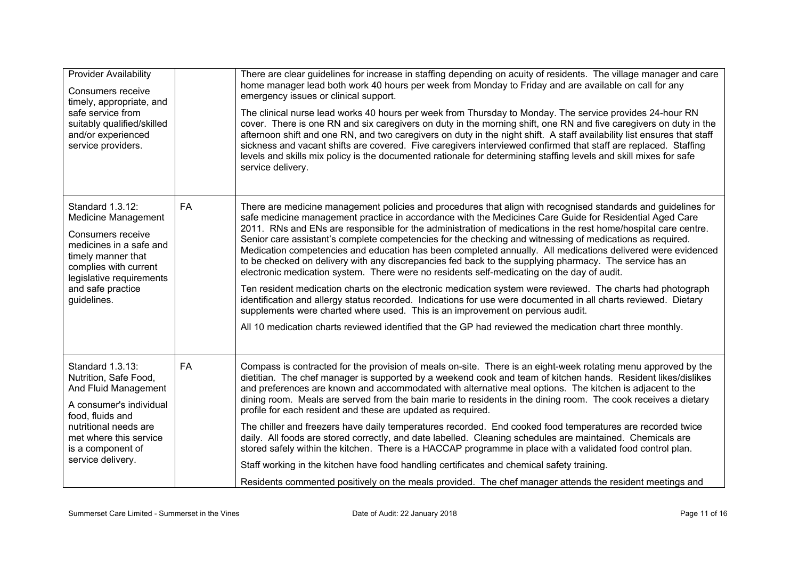| <b>Provider Availability</b><br>Consumers receive<br>timely, appropriate, and<br>safe service from<br>suitably qualified/skilled<br>and/or experienced<br>service providers.                                  |           | There are clear guidelines for increase in staffing depending on acuity of residents. The village manager and care<br>home manager lead both work 40 hours per week from Monday to Friday and are available on call for any<br>emergency issues or clinical support.<br>The clinical nurse lead works 40 hours per week from Thursday to Monday. The service provides 24-hour RN<br>cover. There is one RN and six caregivers on duty in the morning shift, one RN and five caregivers on duty in the<br>afternoon shift and one RN, and two caregivers on duty in the night shift. A staff availability list ensures that staff<br>sickness and vacant shifts are covered. Five caregivers interviewed confirmed that staff are replaced. Staffing<br>levels and skills mix policy is the documented rationale for determining staffing levels and skill mixes for safe<br>service delivery.                                                                                                                                                                                                                                                                                                                    |
|---------------------------------------------------------------------------------------------------------------------------------------------------------------------------------------------------------------|-----------|------------------------------------------------------------------------------------------------------------------------------------------------------------------------------------------------------------------------------------------------------------------------------------------------------------------------------------------------------------------------------------------------------------------------------------------------------------------------------------------------------------------------------------------------------------------------------------------------------------------------------------------------------------------------------------------------------------------------------------------------------------------------------------------------------------------------------------------------------------------------------------------------------------------------------------------------------------------------------------------------------------------------------------------------------------------------------------------------------------------------------------------------------------------------------------------------------------------|
| Standard 1.3.12:<br><b>Medicine Management</b><br>Consumers receive<br>medicines in a safe and<br>timely manner that<br>complies with current<br>legislative requirements<br>and safe practice<br>guidelines. | <b>FA</b> | There are medicine management policies and procedures that align with recognised standards and guidelines for<br>safe medicine management practice in accordance with the Medicines Care Guide for Residential Aged Care<br>2011. RNs and ENs are responsible for the administration of medications in the rest home/hospital care centre.<br>Senior care assistant's complete competencies for the checking and witnessing of medications as required.<br>Medication competencies and education has been completed annually. All medications delivered were evidenced<br>to be checked on delivery with any discrepancies fed back to the supplying pharmacy. The service has an<br>electronic medication system. There were no residents self-medicating on the day of audit.<br>Ten resident medication charts on the electronic medication system were reviewed. The charts had photograph<br>identification and allergy status recorded. Indications for use were documented in all charts reviewed. Dietary<br>supplements were charted where used. This is an improvement on pervious audit.<br>All 10 medication charts reviewed identified that the GP had reviewed the medication chart three monthly. |
| Standard 1.3.13:<br>Nutrition, Safe Food,<br>And Fluid Management<br>A consumer's individual<br>food, fluids and<br>nutritional needs are<br>met where this service<br>is a component of<br>service delivery. | <b>FA</b> | Compass is contracted for the provision of meals on-site. There is an eight-week rotating menu approved by the<br>dietitian. The chef manager is supported by a weekend cook and team of kitchen hands. Resident likes/dislikes<br>and preferences are known and accommodated with alternative meal options. The kitchen is adjacent to the<br>dining room. Meals are served from the bain marie to residents in the dining room. The cook receives a dietary<br>profile for each resident and these are updated as required.<br>The chiller and freezers have daily temperatures recorded. End cooked food temperatures are recorded twice<br>daily. All foods are stored correctly, and date labelled. Cleaning schedules are maintained. Chemicals are<br>stored safely within the kitchen. There is a HACCAP programme in place with a validated food control plan.<br>Staff working in the kitchen have food handling certificates and chemical safety training.<br>Residents commented positively on the meals provided. The chef manager attends the resident meetings and                                                                                                                                |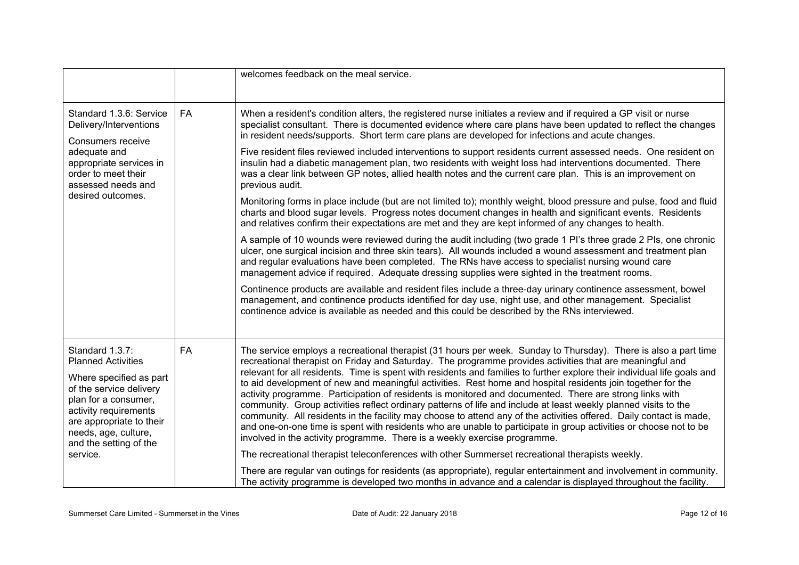|                                                                                                                                                                                                                                               |           | welcomes feedback on the meal service.                                                                                                                                                                                                                                                                                                                                                                                                                                                                                                                                                                                                                                                                                                                                                                                                                                                                                                                                                                                        |
|-----------------------------------------------------------------------------------------------------------------------------------------------------------------------------------------------------------------------------------------------|-----------|-------------------------------------------------------------------------------------------------------------------------------------------------------------------------------------------------------------------------------------------------------------------------------------------------------------------------------------------------------------------------------------------------------------------------------------------------------------------------------------------------------------------------------------------------------------------------------------------------------------------------------------------------------------------------------------------------------------------------------------------------------------------------------------------------------------------------------------------------------------------------------------------------------------------------------------------------------------------------------------------------------------------------------|
| Standard 1.3.6: Service<br>Delivery/Interventions<br>Consumers receive<br>adequate and<br>appropriate services in<br>order to meet their<br>assessed needs and<br>desired outcomes.                                                           | <b>FA</b> | When a resident's condition alters, the registered nurse initiates a review and if required a GP visit or nurse<br>specialist consultant. There is documented evidence where care plans have been updated to reflect the changes<br>in resident needs/supports. Short term care plans are developed for infections and acute changes.                                                                                                                                                                                                                                                                                                                                                                                                                                                                                                                                                                                                                                                                                         |
|                                                                                                                                                                                                                                               |           | Five resident files reviewed included interventions to support residents current assessed needs. One resident on<br>insulin had a diabetic management plan, two residents with weight loss had interventions documented. There<br>was a clear link between GP notes, allied health notes and the current care plan. This is an improvement on<br>previous audit.                                                                                                                                                                                                                                                                                                                                                                                                                                                                                                                                                                                                                                                              |
|                                                                                                                                                                                                                                               |           | Monitoring forms in place include (but are not limited to); monthly weight, blood pressure and pulse, food and fluid<br>charts and blood sugar levels. Progress notes document changes in health and significant events. Residents<br>and relatives confirm their expectations are met and they are kept informed of any changes to health.                                                                                                                                                                                                                                                                                                                                                                                                                                                                                                                                                                                                                                                                                   |
|                                                                                                                                                                                                                                               |           | A sample of 10 wounds were reviewed during the audit including (two grade 1 PI's three grade 2 PIs, one chronic<br>ulcer, one surgical incision and three skin tears). All wounds included a wound assessment and treatment plan<br>and regular evaluations have been completed. The RNs have access to specialist nursing wound care<br>management advice if required. Adequate dressing supplies were sighted in the treatment rooms.                                                                                                                                                                                                                                                                                                                                                                                                                                                                                                                                                                                       |
|                                                                                                                                                                                                                                               |           | Continence products are available and resident files include a three-day urinary continence assessment, bowel<br>management, and continence products identified for day use, night use, and other management. Specialist<br>continence advice is available as needed and this could be described by the RNs interviewed.                                                                                                                                                                                                                                                                                                                                                                                                                                                                                                                                                                                                                                                                                                      |
| Standard 1.3.7:<br><b>Planned Activities</b><br>Where specified as part<br>of the service delivery<br>plan for a consumer,<br>activity requirements<br>are appropriate to their<br>needs, age, culture,<br>and the setting of the<br>service. | FA        | The service employs a recreational therapist (31 hours per week. Sunday to Thursday). There is also a part time<br>recreational therapist on Friday and Saturday. The programme provides activities that are meaningful and<br>relevant for all residents. Time is spent with residents and families to further explore their individual life goals and<br>to aid development of new and meaningful activities. Rest home and hospital residents join together for the<br>activity programme. Participation of residents is monitored and documented. There are strong links with<br>community. Group activities reflect ordinary patterns of life and include at least weekly planned visits to the<br>community. All residents in the facility may choose to attend any of the activities offered. Daily contact is made,<br>and one-on-one time is spent with residents who are unable to participate in group activities or choose not to be<br>involved in the activity programme. There is a weekly exercise programme. |
|                                                                                                                                                                                                                                               |           | The recreational therapist teleconferences with other Summerset recreational therapists weekly.<br>There are regular van outings for residents (as appropriate), regular entertainment and involvement in community.<br>The activity programme is developed two months in advance and a calendar is displayed throughout the facility.                                                                                                                                                                                                                                                                                                                                                                                                                                                                                                                                                                                                                                                                                        |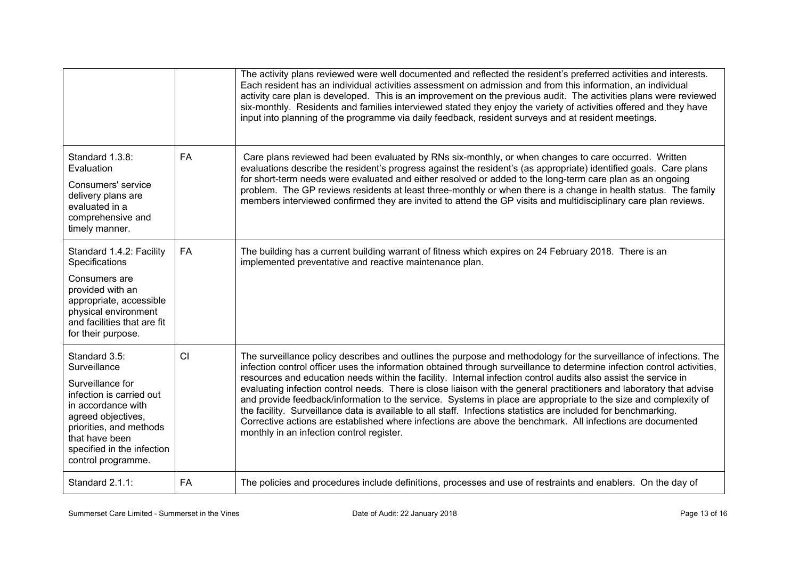|                                                                                                                                                                                                                            |           | The activity plans reviewed were well documented and reflected the resident's preferred activities and interests.<br>Each resident has an individual activities assessment on admission and from this information, an individual<br>activity care plan is developed. This is an improvement on the previous audit. The activities plans were reviewed<br>six-monthly. Residents and families interviewed stated they enjoy the variety of activities offered and they have<br>input into planning of the programme via daily feedback, resident surveys and at resident meetings.                                                                                                                                                                                                                                                                                                         |
|----------------------------------------------------------------------------------------------------------------------------------------------------------------------------------------------------------------------------|-----------|-------------------------------------------------------------------------------------------------------------------------------------------------------------------------------------------------------------------------------------------------------------------------------------------------------------------------------------------------------------------------------------------------------------------------------------------------------------------------------------------------------------------------------------------------------------------------------------------------------------------------------------------------------------------------------------------------------------------------------------------------------------------------------------------------------------------------------------------------------------------------------------------|
| Standard 1.3.8:<br>Evaluation<br>Consumers' service<br>delivery plans are<br>evaluated in a<br>comprehensive and<br>timely manner.                                                                                         | <b>FA</b> | Care plans reviewed had been evaluated by RNs six-monthly, or when changes to care occurred. Written<br>evaluations describe the resident's progress against the resident's (as appropriate) identified goals. Care plans<br>for short-term needs were evaluated and either resolved or added to the long-term care plan as an ongoing<br>problem. The GP reviews residents at least three-monthly or when there is a change in health status. The family<br>members interviewed confirmed they are invited to attend the GP visits and multidisciplinary care plan reviews.                                                                                                                                                                                                                                                                                                              |
| Standard 1.4.2: Facility<br>Specifications<br>Consumers are<br>provided with an<br>appropriate, accessible<br>physical environment<br>and facilities that are fit<br>for their purpose.                                    | FA        | The building has a current building warrant of fitness which expires on 24 February 2018. There is an<br>implemented preventative and reactive maintenance plan.                                                                                                                                                                                                                                                                                                                                                                                                                                                                                                                                                                                                                                                                                                                          |
| Standard 3.5:<br>Surveillance<br>Surveillance for<br>infection is carried out<br>in accordance with<br>agreed objectives,<br>priorities, and methods<br>that have been<br>specified in the infection<br>control programme. | CI        | The surveillance policy describes and outlines the purpose and methodology for the surveillance of infections. The<br>infection control officer uses the information obtained through surveillance to determine infection control activities,<br>resources and education needs within the facility. Internal infection control audits also assist the service in<br>evaluating infection control needs. There is close liaison with the general practitioners and laboratory that advise<br>and provide feedback/information to the service. Systems in place are appropriate to the size and complexity of<br>the facility. Surveillance data is available to all staff. Infections statistics are included for benchmarking.<br>Corrective actions are established where infections are above the benchmark. All infections are documented<br>monthly in an infection control register. |
| Standard 2.1.1:                                                                                                                                                                                                            | <b>FA</b> | The policies and procedures include definitions, processes and use of restraints and enablers. On the day of                                                                                                                                                                                                                                                                                                                                                                                                                                                                                                                                                                                                                                                                                                                                                                              |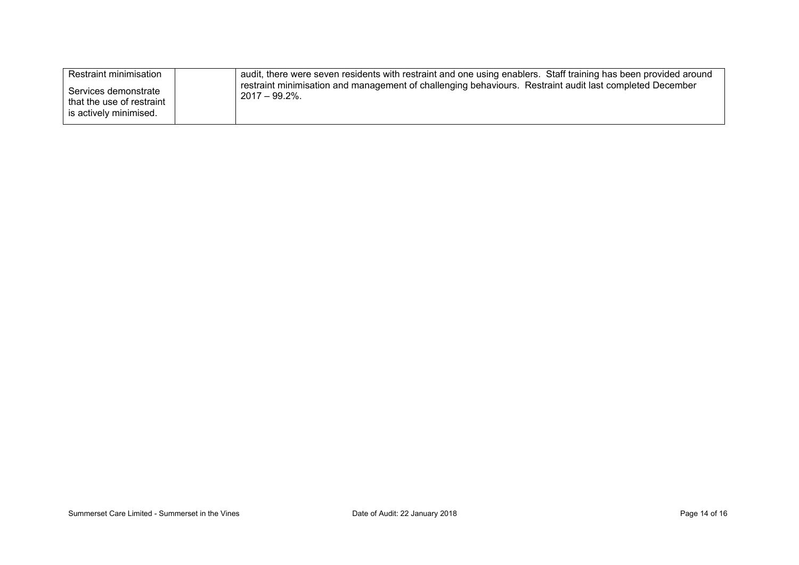| Restraint minimisation                                                      | audit, there were seven residents with restraint and one using enablers. Staff training has been provided around              |
|-----------------------------------------------------------------------------|-------------------------------------------------------------------------------------------------------------------------------|
| Services demonstrate<br>that the use of restraint<br>is actively minimised. | restraint minimisation and management of challenging behaviours. Restraint audit last completed December<br>$2017 - 99.2\%$ . |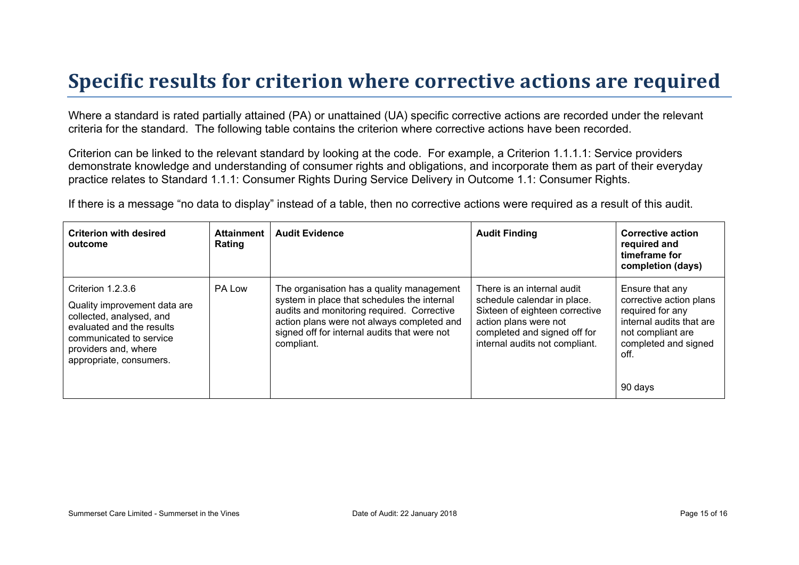## **Specific results for criterion where corrective actions are required**

Where a standard is rated partially attained (PA) or unattained (UA) specific corrective actions are recorded under the relevant criteria for the standard. The following table contains the criterion where corrective actions have been recorded.

Criterion can be linked to the relevant standard by looking at the code. For example, a Criterion 1.1.1.1: Service providers demonstrate knowledge and understanding of consumer rights and obligations, and incorporate them as part of their everyday practice relates to Standard 1.1.1: Consumer Rights During Service Delivery in Outcome 1.1: Consumer Rights.

If there is a message "no data to display" instead of a table, then no corrective actions were required as a result of this audit.

| <b>Criterion with desired</b><br>outcome                                                                                                                                                 | <b>Attainment</b><br>Rating | <b>Audit Evidence</b>                                                                                                                                                                                                                              | <b>Audit Finding</b>                                                                                                                                                                   | <b>Corrective action</b><br>required and<br>timeframe for<br>completion (days)                                                                             |
|------------------------------------------------------------------------------------------------------------------------------------------------------------------------------------------|-----------------------------|----------------------------------------------------------------------------------------------------------------------------------------------------------------------------------------------------------------------------------------------------|----------------------------------------------------------------------------------------------------------------------------------------------------------------------------------------|------------------------------------------------------------------------------------------------------------------------------------------------------------|
| Criterion 1.2.3.6<br>Quality improvement data are<br>collected, analysed, and<br>evaluated and the results<br>communicated to service<br>providers and, where<br>appropriate, consumers. | PA Low                      | The organisation has a quality management<br>system in place that schedules the internal<br>audits and monitoring required. Corrective<br>action plans were not always completed and<br>signed off for internal audits that were not<br>compliant. | There is an internal audit<br>schedule calendar in place.<br>Sixteen of eighteen corrective<br>action plans were not<br>completed and signed off for<br>internal audits not compliant. | Ensure that any<br>corrective action plans<br>required for any<br>internal audits that are<br>not compliant are<br>completed and signed<br>off.<br>90 days |